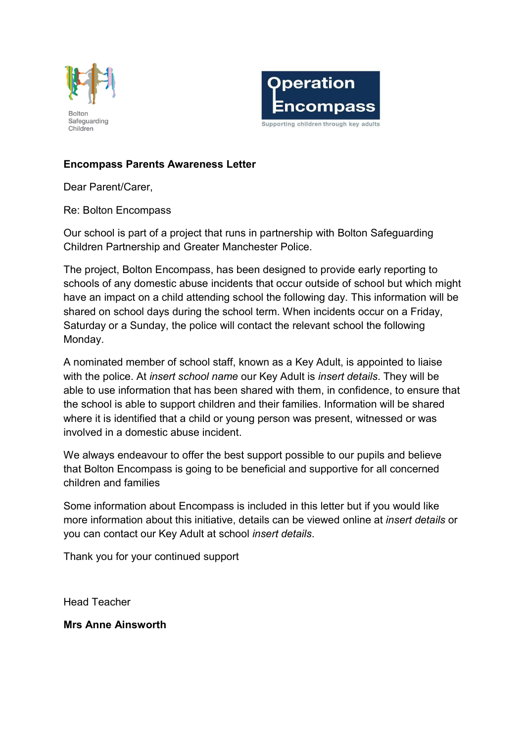



## Encompass Parents Awareness Letter

Dear Parent/Carer,

Re: Bolton Encompass

Our school is part of a project that runs in partnership with Bolton Safeguarding Children Partnership and Greater Manchester Police.

The project, Bolton Encompass, has been designed to provide early reporting to schools of any domestic abuse incidents that occur outside of school but which might have an impact on a child attending school the following day. This information will be shared on school days during the school term. When incidents occur on a Friday, Saturday or a Sunday, the police will contact the relevant school the following Monday.

A nominated member of school staff, known as a Key Adult, is appointed to liaise with the police. At *insert school name* our Key Adult is *insert details*. They will be able to use information that has been shared with them, in confidence, to ensure that the school is able to support children and their families. Information will be shared where it is identified that a child or young person was present, witnessed or was involved in a domestic abuse incident.

We always endeavour to offer the best support possible to our pupils and believe that Bolton Encompass is going to be beneficial and supportive for all concerned children and families

Some information about Encompass is included in this letter but if you would like more information about this initiative, details can be viewed online at *insert details* or you can contact our Key Adult at school insert details.

Thank you for your continued support

Head Teacher

Mrs Anne Ainsworth